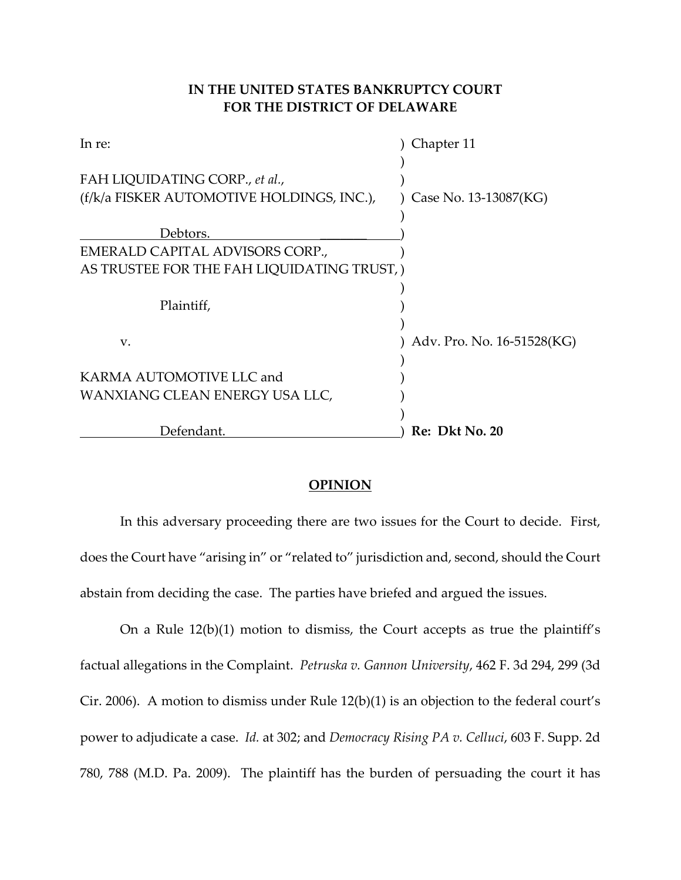# **IN THE UNITED STATES BANKRUPTCY COURT FOR THE DISTRICT OF DELAWARE**

| In re:                                    | Chapter 11                 |
|-------------------------------------------|----------------------------|
|                                           |                            |
| FAH LIQUIDATING CORP., et al.,            |                            |
| (f/k/a FISKER AUTOMOTIVE HOLDINGS, INC.), | Case No. 13-13087(KG)      |
|                                           |                            |
| Debtors.                                  |                            |
| EMERALD CAPITAL ADVISORS CORP.,           |                            |
| AS TRUSTEE FOR THE FAH LIQUIDATING TRUST, |                            |
|                                           |                            |
| Plaintiff,                                |                            |
|                                           |                            |
| V.                                        | Adv. Pro. No. 16-51528(KG) |
|                                           |                            |
| KARMA AUTOMOTIVE LLC and                  |                            |
| WANXIANG CLEAN ENERGY USA LLC,            |                            |
|                                           |                            |
| Defendant.                                | Re: Dkt No. 20             |

### **OPINION**

In this adversary proceeding there are two issues for the Court to decide. First, does the Court have "arising in" or "related to" jurisdiction and, second, should the Court abstain from deciding the case. The parties have briefed and argued the issues.

On a Rule 12(b)(1) motion to dismiss, the Court accepts as true the plaintiff's factual allegations in the Complaint. *Petruska v. Gannon University*, 462 F. 3d 294, 299 (3d Cir. 2006). A motion to dismiss under Rule 12(b)(1) is an objection to the federal court's power to adjudicate a case. *Id.* at 302; and *Democracy Rising PA v. Celluci*, 603 F. Supp. 2d 780, 788 (M.D. Pa. 2009). The plaintiff has the burden of persuading the court it has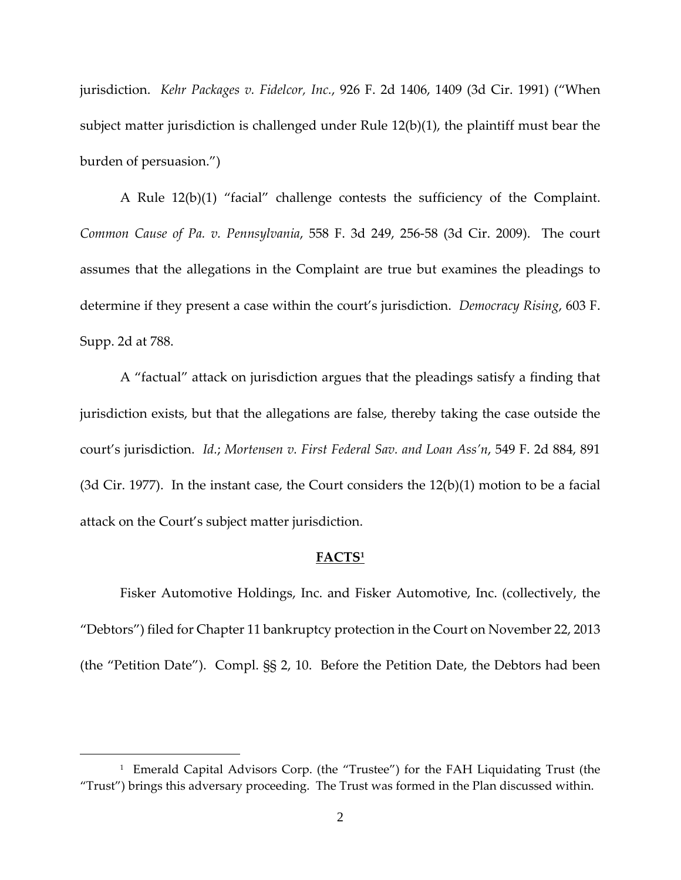jurisdiction. *Kehr Packages v. Fidelcor, Inc.*, 926 F. 2d 1406, 1409 (3d Cir. 1991) ("When subject matter jurisdiction is challenged under Rule 12(b)(1), the plaintiff must bear the burden of persuasion.")

A Rule 12(b)(1) "facial" challenge contests the sufficiency of the Complaint. *Common Cause of Pa. v. Pennsylvania*, 558 F. 3d 249, 256‐58 (3d Cir. 2009). The court assumes that the allegations in the Complaint are true but examines the pleadings to determine if they present a case within the court's jurisdiction. *Democracy Rising*, 603 F. Supp. 2d at 788.

A "factual" attack on jurisdiction argues that the pleadings satisfy a finding that jurisdiction exists, but that the allegations are false, thereby taking the case outside the court's jurisdiction. *Id.*; *Mortensen v. First Federal Sav. and Loan Ass'n*, 549 F. 2d 884, 891 (3d Cir. 1977). In the instant case, the Court considers the  $12(b)(1)$  motion to be a facial attack on the Court's subject matter jurisdiction.

#### **FACTS1**

Fisker Automotive Holdings, Inc. and Fisker Automotive, Inc. (collectively, the "Debtors") filed for Chapter 11 bankruptcy protection in the Court on November 22, 2013 (the "Petition Date"). Compl. §§ 2, 10. Before the Petition Date, the Debtors had been

1

<sup>&</sup>lt;sup>1</sup> Emerald Capital Advisors Corp. (the "Trustee") for the FAH Liquidating Trust (the "Trust") brings this adversary proceeding. The Trust was formed in the Plan discussed within.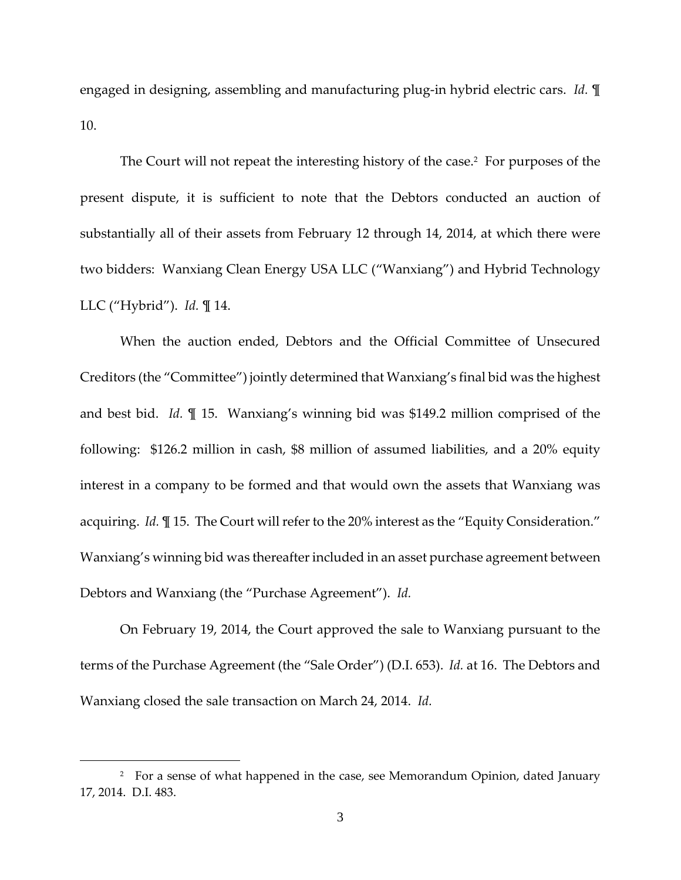engaged in designing, assembling and manufacturing plug‐in hybrid electric cars. *Id.* ¶ 10.

The Court will not repeat the interesting history of the case.<sup>2</sup> For purposes of the present dispute, it is sufficient to note that the Debtors conducted an auction of substantially all of their assets from February 12 through 14, 2014, at which there were two bidders: Wanxiang Clean Energy USA LLC ("Wanxiang") and Hybrid Technology LLC ("Hybrid"). *Id.* ¶ 14.

When the auction ended, Debtors and the Official Committee of Unsecured Creditors (the "Committee") jointly determined that Wanxiang's final bid was the highest and best bid. *Id.* ¶ 15. Wanxiang's winning bid was \$149.2 million comprised of the following: \$126.2 million in cash, \$8 million of assumed liabilities, and a 20% equity interest in a company to be formed and that would own the assets that Wanxiang was acquiring. *Id.*  $\mathbb{I}$  15. The Court will refer to the 20% interest as the "Equity Consideration." Wanxiang's winning bid was thereafter included in an asset purchase agreement between Debtors and Wanxiang (the "Purchase Agreement"). *Id.*

On February 19, 2014, the Court approved the sale to Wanxiang pursuant to the terms of the Purchase Agreement (the "Sale Order") (D.I. 653). *Id.* at 16. The Debtors and Wanxiang closed the sale transaction on March 24, 2014. *Id.* 

 $\overline{a}$ 

<sup>&</sup>lt;sup>2</sup> For a sense of what happened in the case, see Memorandum Opinion, dated January 17, 2014. D.I. 483.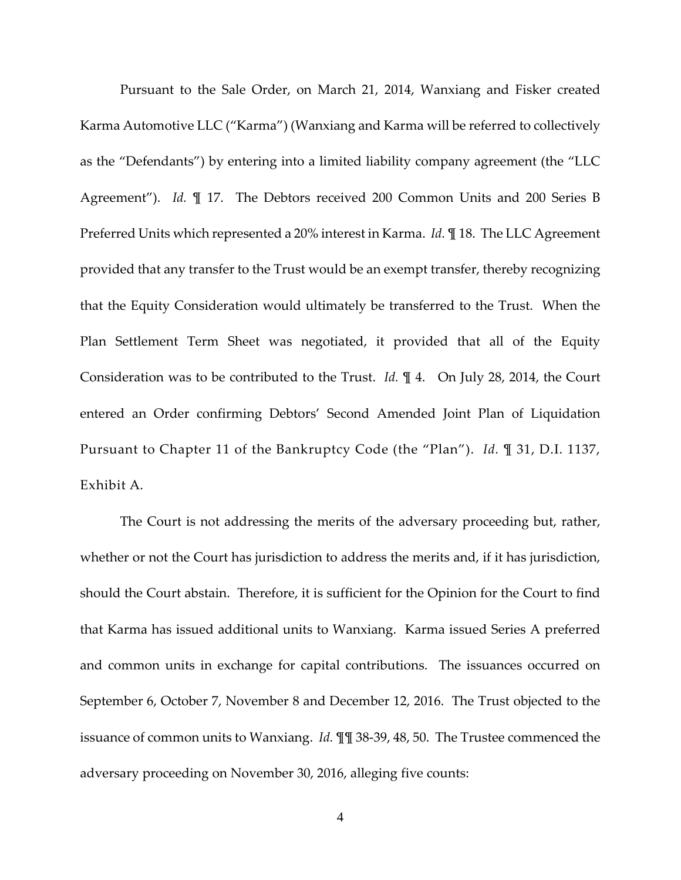Pursuant to the Sale Order, on March 21, 2014, Wanxiang and Fisker created Karma Automotive LLC ("Karma") (Wanxiang and Karma will be referred to collectively as the "Defendants") by entering into a limited liability company agreement (the "LLC Agreement"). *Id.*  $\P$  17. The Debtors received 200 Common Units and 200 Series B Preferred Units which represented a 20% interest in Karma. *Id.* ¶ 18. The LLC Agreement provided that any transfer to the Trust would be an exempt transfer, thereby recognizing that the Equity Consideration would ultimately be transferred to the Trust. When the Plan Settlement Term Sheet was negotiated, it provided that all of the Equity Consideration was to be contributed to the Trust. *Id.*  $\mathbb{I}$  4. On July 28, 2014, the Court entered an Order confirming Debtors' Second Amended Joint Plan of Liquidation Pursuant to Chapter 11 of the Bankruptcy Code (the "Plan"). *Id.* ¶ 31, D.I. 1137, Exhibit A.

The Court is not addressing the merits of the adversary proceeding but, rather, whether or not the Court has jurisdiction to address the merits and, if it has jurisdiction, should the Court abstain. Therefore, it is sufficient for the Opinion for the Court to find that Karma has issued additional units to Wanxiang. Karma issued Series A preferred and common units in exchange for capital contributions. The issuances occurred on September 6, October 7, November 8 and December 12, 2016. The Trust objected to the issuance of common units to Wanxiang. *Id.* ¶¶ 38‐39, 48, 50. The Trustee commenced the adversary proceeding on November 30, 2016, alleging five counts: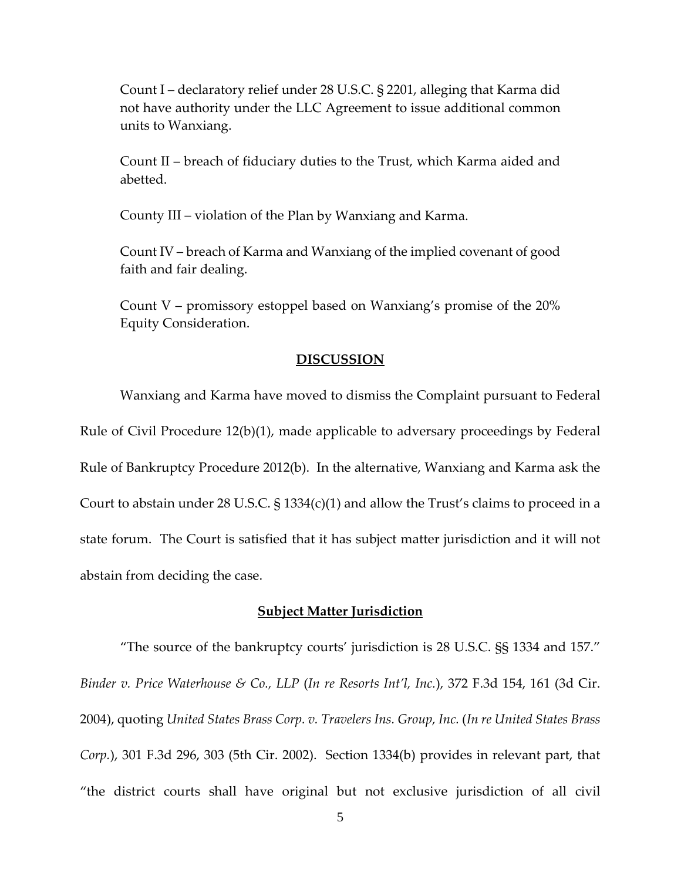Count I – declaratory relief under 28 U.S.C. § 2201, alleging that Karma did not have authority under the LLC Agreement to issue additional common units to Wanxiang.

Count II – breach of fiduciary duties to the Trust, which Karma aided and abetted.

County III – violation of the Plan by Wanxiang and Karma.

Count IV – breach of Karma and Wanxiang of the implied covenant of good faith and fair dealing.

Count V – promissory estoppel based on Wanxiang's promise of the 20% Equity Consideration.

#### **DISCUSSION**

Wanxiang and Karma have moved to dismiss the Complaint pursuant to Federal Rule of Civil Procedure 12(b)(1), made applicable to adversary proceedings by Federal Rule of Bankruptcy Procedure 2012(b). In the alternative, Wanxiang and Karma ask the Court to abstain under 28 U.S.C. § 1334(c)(1) and allow the Trust's claims to proceed in a state forum. The Court is satisfied that it has subject matter jurisdiction and it will not abstain from deciding the case.

#### **Subject Matter Jurisdiction**

"The source of the bankruptcy courts' jurisdiction is 28 U.S.C. §§ 1334 and 157." *Binder v. Price Waterhouse & Co., LLP* (*In re Resorts Int'l, Inc.*), 372 F.3d 154, 161 (3d Cir. 2004), quoting *United States Brass Corp. v. Travelers Ins. Group, Inc.* (*In re United States Brass Corp.*), 301 F.3d 296, 303 (5th Cir. 2002). Section 1334(b) provides in relevant part, that "the district courts shall have original but not exclusive jurisdiction of all civil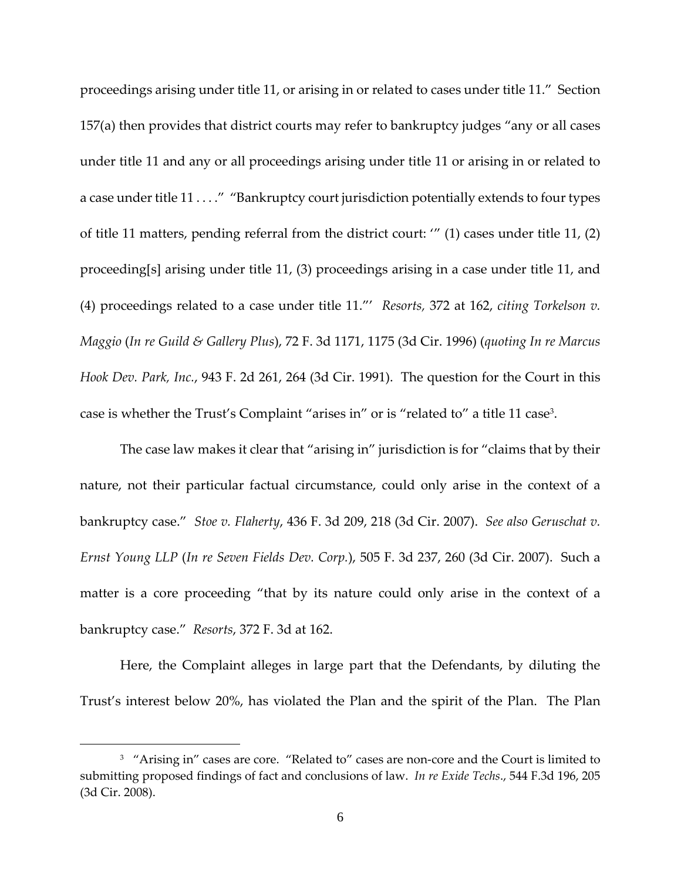proceedings arising under title 11, or arising in or related to cases under title 11." Section 157(a) then provides that district courts may refer to bankruptcy judges "any or all cases under title 11 and any or all proceedings arising under title 11 or arising in or related to a case under title 11 . . . . " "Bankruptcy court jurisdiction potentially extends to four types of title 11 matters, pending referral from the district court: '" (1) cases under title 11, (2) proceeding[s] arising under title 11, (3) proceedings arising in a case under title 11, and (4) proceedings related to a case under title 11."' *Resorts,* 372 at 162, *citing Torkelson v. Maggio* (*In re Guild & Gallery Plus*), 72 F. 3d 1171, 1175 (3d Cir. 1996) (*quoting In re Marcus Hook Dev. Park, Inc.*, 943 F. 2d 261, 264 (3d Cir. 1991). The question for the Court in this case is whether the Trust's Complaint "arises in" or is "related to" a title 11 case3.

The case law makes it clear that "arising in" jurisdiction is for "claims that by their nature, not their particular factual circumstance, could only arise in the context of a bankruptcy case." *Stoe v. Flaherty*, 436 F. 3d 209, 218 (3d Cir. 2007). *See also Geruschat v. Ernst Young LLP* (*In re Seven Fields Dev. Corp.*), 505 F. 3d 237, 260 (3d Cir. 2007). Such a matter is a core proceeding "that by its nature could only arise in the context of a bankruptcy case." *Resorts*, 372 F. 3d at 162.

Here, the Complaint alleges in large part that the Defendants, by diluting the Trust's interest below 20%, has violated the Plan and the spirit of the Plan. The Plan

<u>.</u>

<sup>&</sup>lt;sup>3</sup> "Arising in" cases are core. "Related to" cases are non-core and the Court is limited to submitting proposed findings of fact and conclusions of law. *In re Exide Techs*., 544 F.3d 196, 205 (3d Cir. 2008).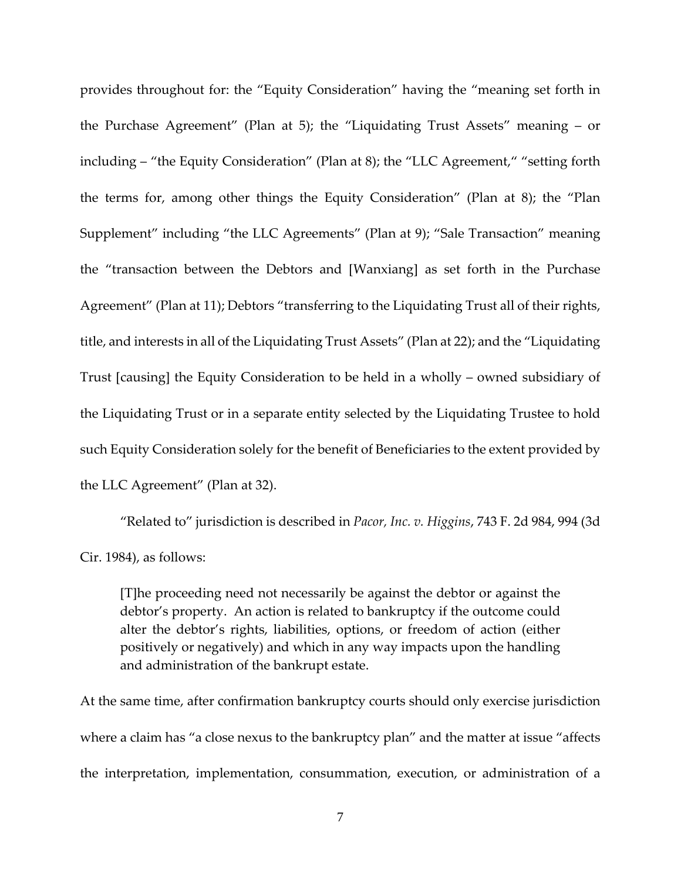provides throughout for: the "Equity Consideration" having the "meaning set forth in the Purchase Agreement" (Plan at 5); the "Liquidating Trust Assets" meaning – or including – "the Equity Consideration" (Plan at 8); the "LLC Agreement," "setting forth the terms for, among other things the Equity Consideration" (Plan at 8); the "Plan Supplement" including "the LLC Agreements" (Plan at 9); "Sale Transaction" meaning the "transaction between the Debtors and [Wanxiang] as set forth in the Purchase Agreement" (Plan at 11); Debtors "transferring to the Liquidating Trust all of their rights, title, and interests in all of the Liquidating Trust Assets" (Plan at 22); and the "Liquidating Trust [causing] the Equity Consideration to be held in a wholly – owned subsidiary of the Liquidating Trust or in a separate entity selected by the Liquidating Trustee to hold such Equity Consideration solely for the benefit of Beneficiaries to the extent provided by the LLC Agreement" (Plan at 32).

"Related to" jurisdiction is described in *Pacor, Inc. v. Higgins*, 743 F. 2d 984, 994 (3d Cir. 1984), as follows:

[T]he proceeding need not necessarily be against the debtor or against the debtor's property. An action is related to bankruptcy if the outcome could alter the debtor's rights, liabilities, options, or freedom of action (either positively or negatively) and which in any way impacts upon the handling and administration of the bankrupt estate.

At the same time, after confirmation bankruptcy courts should only exercise jurisdiction where a claim has "a close nexus to the bankruptcy plan" and the matter at issue "affects the interpretation, implementation, consummation, execution, or administration of a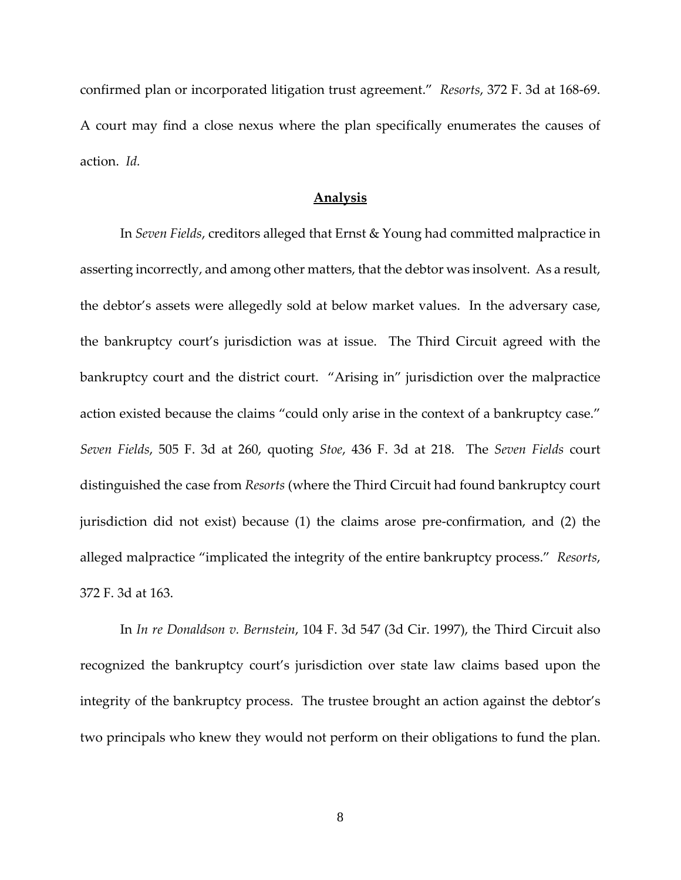confirmed plan or incorporated litigation trust agreement." *Resorts*, 372 F. 3d at 168‐69. A court may find a close nexus where the plan specifically enumerates the causes of action. *Id.*

#### **Analysis**

In *Seven Fields*, creditors alleged that Ernst & Young had committed malpractice in asserting incorrectly, and among other matters, that the debtor was insolvent. As a result, the debtor's assets were allegedly sold at below market values. In the adversary case, the bankruptcy court's jurisdiction was at issue. The Third Circuit agreed with the bankruptcy court and the district court. "Arising in" jurisdiction over the malpractice action existed because the claims "could only arise in the context of a bankruptcy case." *Seven Fields*, 505 F. 3d at 260, quoting *Stoe*, 436 F. 3d at 218. The *Seven Fields* court distinguished the case from *Resorts* (where the Third Circuit had found bankruptcy court jurisdiction did not exist) because (1) the claims arose pre‐confirmation, and (2) the alleged malpractice "implicated the integrity of the entire bankruptcy process." *Resorts*, 372 F. 3d at 163.

In *In re Donaldson v. Bernstein*, 104 F. 3d 547 (3d Cir. 1997), the Third Circuit also recognized the bankruptcy court's jurisdiction over state law claims based upon the integrity of the bankruptcy process. The trustee brought an action against the debtor's two principals who knew they would not perform on their obligations to fund the plan.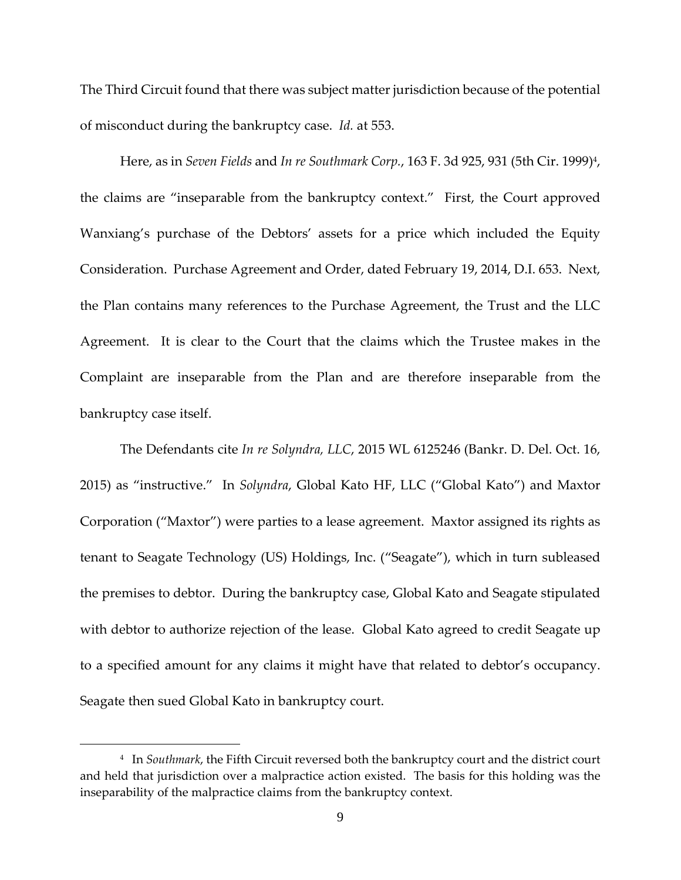The Third Circuit found that there was subject matter jurisdiction because of the potential of misconduct during the bankruptcy case. *Id.* at 553.

Here, as in *Seven Fields* and *In re Southmark Corp.*, 163 F. 3d 925, 931 (5th Cir. 1999)4, the claims are "inseparable from the bankruptcy context." First, the Court approved Wanxiang's purchase of the Debtors' assets for a price which included the Equity Consideration. Purchase Agreement and Order, dated February 19, 2014, D.I. 653. Next, the Plan contains many references to the Purchase Agreement, the Trust and the LLC Agreement. It is clear to the Court that the claims which the Trustee makes in the Complaint are inseparable from the Plan and are therefore inseparable from the bankruptcy case itself.

The Defendants cite *In re Solyndra, LLC*, 2015 WL 6125246 (Bankr. D. Del. Oct. 16, 2015) as "instructive." In *Solyndra*, Global Kato HF, LLC ("Global Kato") and Maxtor Corporation ("Maxtor") were parties to a lease agreement. Maxtor assigned its rights as tenant to Seagate Technology (US) Holdings, Inc. ("Seagate"), which in turn subleased the premises to debtor. During the bankruptcy case, Global Kato and Seagate stipulated with debtor to authorize rejection of the lease. Global Kato agreed to credit Seagate up to a specified amount for any claims it might have that related to debtor's occupancy. Seagate then sued Global Kato in bankruptcy court.

 $\overline{a}$ 

<sup>4</sup> In *Southmark*, the Fifth Circuit reversed both the bankruptcy court and the district court and held that jurisdiction over a malpractice action existed. The basis for this holding was the inseparability of the malpractice claims from the bankruptcy context.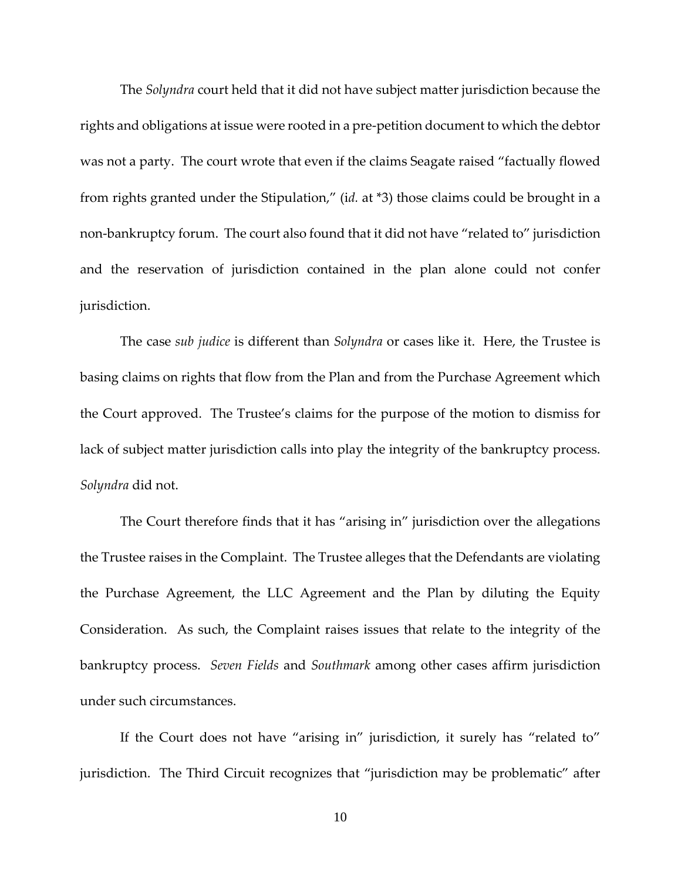The *Solyndra* court held that it did not have subject matter jurisdiction because the rights and obligations at issue were rooted in a pre‐petition document to which the debtor was not a party. The court wrote that even if the claims Seagate raised "factually flowed from rights granted under the Stipulation," (i*d.* at \*3) those claims could be brought in a non-bankruptcy forum. The court also found that it did not have "related to" jurisdiction and the reservation of jurisdiction contained in the plan alone could not confer jurisdiction.

The case *sub judice* is different than *Solyndra* or cases like it. Here, the Trustee is basing claims on rights that flow from the Plan and from the Purchase Agreement which the Court approved. The Trustee's claims for the purpose of the motion to dismiss for lack of subject matter jurisdiction calls into play the integrity of the bankruptcy process. *Solyndra* did not.

The Court therefore finds that it has "arising in" jurisdiction over the allegations the Trustee raises in the Complaint. The Trustee alleges that the Defendants are violating the Purchase Agreement, the LLC Agreement and the Plan by diluting the Equity Consideration. As such, the Complaint raises issues that relate to the integrity of the bankruptcy process. *Seven Fields* and *Southmark* among other cases affirm jurisdiction under such circumstances.

If the Court does not have "arising in" jurisdiction, it surely has "related to" jurisdiction. The Third Circuit recognizes that "jurisdiction may be problematic" after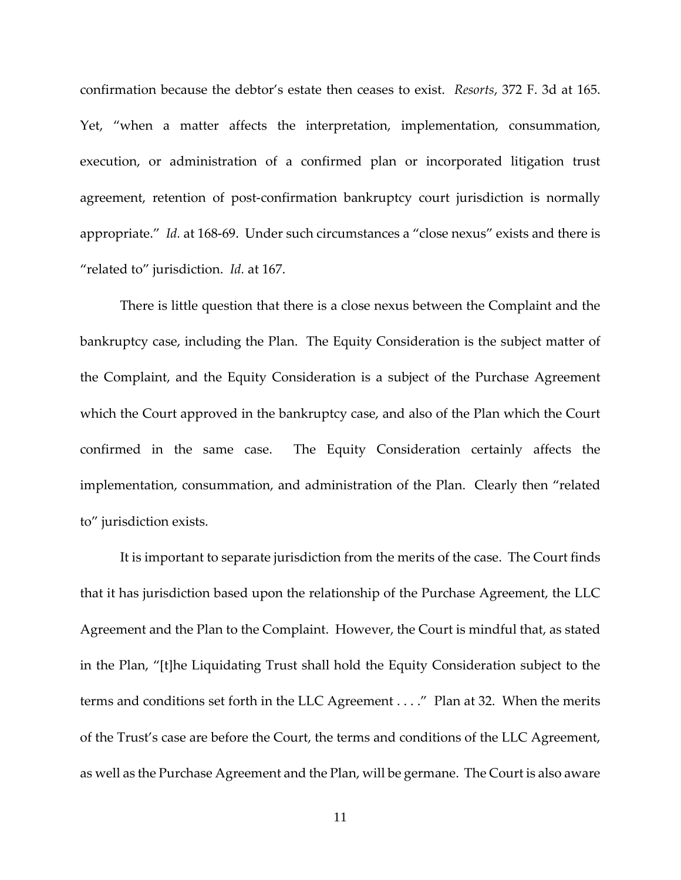confirmation because the debtor's estate then ceases to exist. *Resorts*, 372 F. 3d at 165. Yet, "when a matter affects the interpretation, implementation, consummation, execution, or administration of a confirmed plan or incorporated litigation trust agreement, retention of post-confirmation bankruptcy court jurisdiction is normally appropriate." *Id.* at 168-69. Under such circumstances a "close nexus" exists and there is "related to" jurisdiction. *Id.* at 167.

There is little question that there is a close nexus between the Complaint and the bankruptcy case, including the Plan. The Equity Consideration is the subject matter of the Complaint, and the Equity Consideration is a subject of the Purchase Agreement which the Court approved in the bankruptcy case, and also of the Plan which the Court confirmed in the same case. The Equity Consideration certainly affects the implementation, consummation, and administration of the Plan. Clearly then "related to" jurisdiction exists.

It is important to separate jurisdiction from the merits of the case. The Court finds that it has jurisdiction based upon the relationship of the Purchase Agreement, the LLC Agreement and the Plan to the Complaint. However, the Court is mindful that, as stated in the Plan, "[t]he Liquidating Trust shall hold the Equity Consideration subject to the terms and conditions set forth in the LLC Agreement . . . ." Plan at 32. When the merits of the Trust's case are before the Court, the terms and conditions of the LLC Agreement, as well as the Purchase Agreement and the Plan, will be germane. The Court is also aware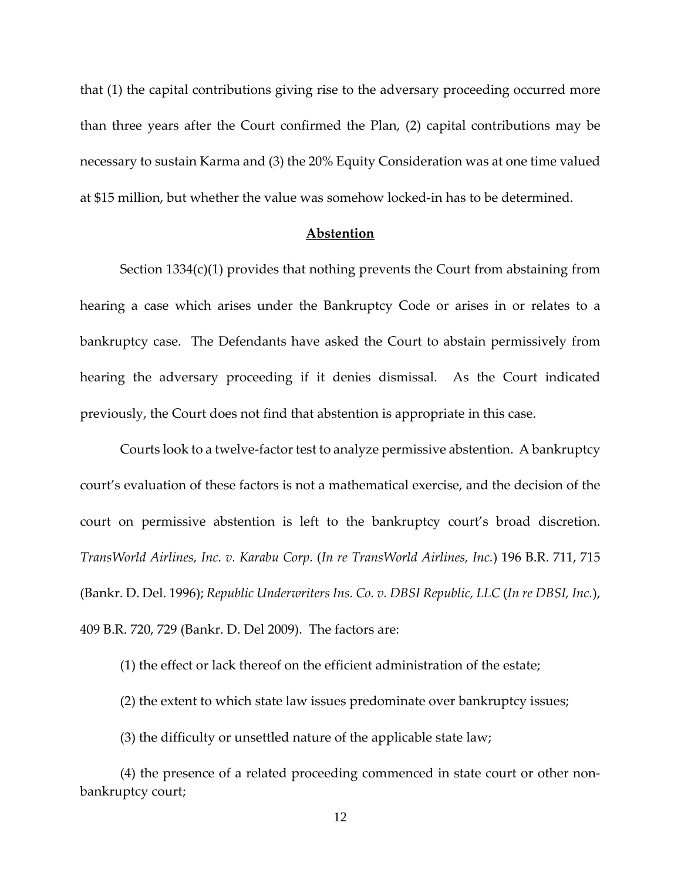that (1) the capital contributions giving rise to the adversary proceeding occurred more than three years after the Court confirmed the Plan, (2) capital contributions may be necessary to sustain Karma and (3) the 20% Equity Consideration was at one time valued at \$15 million, but whether the value was somehow locked‐in has to be determined.

#### **Abstention**

Section 1334(c)(1) provides that nothing prevents the Court from abstaining from hearing a case which arises under the Bankruptcy Code or arises in or relates to a bankruptcy case. The Defendants have asked the Court to abstain permissively from hearing the adversary proceeding if it denies dismissal. As the Court indicated previously, the Court does not find that abstention is appropriate in this case.

Courts look to a twelve‐factor test to analyze permissive abstention. A bankruptcy court's evaluation of these factors is not a mathematical exercise, and the decision of the court on permissive abstention is left to the bankruptcy court's broad discretion. *TransWorld Airlines, Inc. v. Karabu Corp.* (*In re TransWorld Airlines, Inc.*) 196 B.R. 711, 715 (Bankr. D. Del. 1996); *Republic Underwriters Ins. Co. v. DBSI Republic, LLC* (*In re DBSI, Inc.*), 409 B.R. 720, 729 (Bankr. D. Del 2009). The factors are:

(1) the effect or lack thereof on the efficient administration of the estate;

(2) the extent to which state law issues predominate over bankruptcy issues;

(3) the difficulty or unsettled nature of the applicable state law;

(4) the presence of a related proceeding commenced in state court or other non‐ bankruptcy court;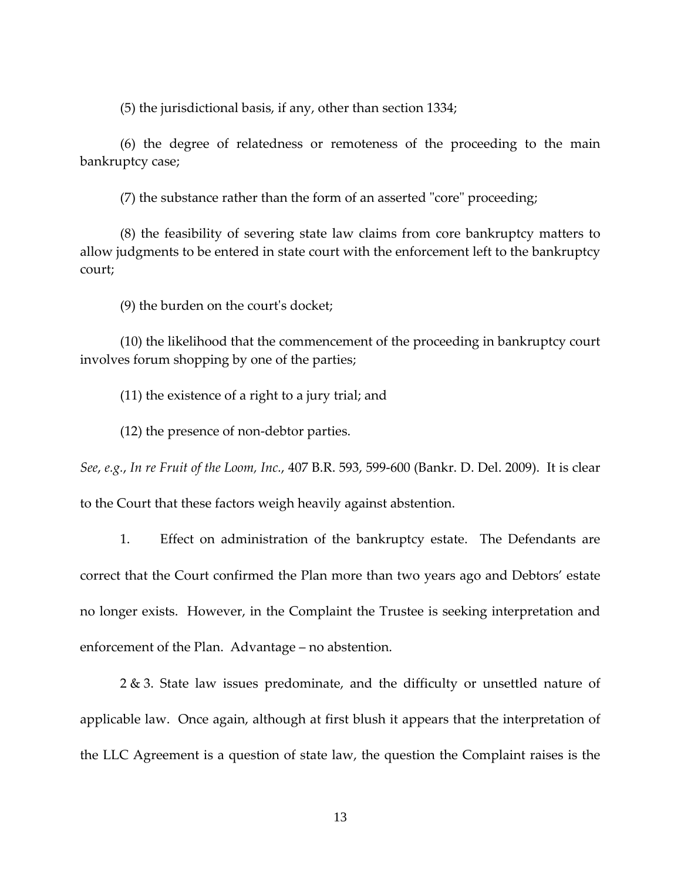(5) the jurisdictional basis, if any, other than section 1334;

(6) the degree of relatedness or remoteness of the proceeding to the main bankruptcy case;

 $(7)$  the substance rather than the form of an asserted "core" proceeding;

(8) the feasibility of severing state law claims from core bankruptcy matters to allow judgments to be entered in state court with the enforcement left to the bankruptcy court;

(9) the burden on the courtʹs docket;

(10) the likelihood that the commencement of the proceeding in bankruptcy court involves forum shopping by one of the parties;

(11) the existence of a right to a jury trial; and

(12) the presence of non‐debtor parties.

*See*, *e.g.*, *In re Fruit of the Loom, Inc.*, 407 B.R. 593, 599‐600 (Bankr. D. Del. 2009). It is clear to the Court that these factors weigh heavily against abstention.

1. Effect on administration of the bankruptcy estate. The Defendants are correct that the Court confirmed the Plan more than two years ago and Debtors' estate no longer exists. However, in the Complaint the Trustee is seeking interpretation and enforcement of the Plan. Advantage – no abstention.

2 & 3. State law issues predominate, and the difficulty or unsettled nature of applicable law. Once again, although at first blush it appears that the interpretation of the LLC Agreement is a question of state law, the question the Complaint raises is the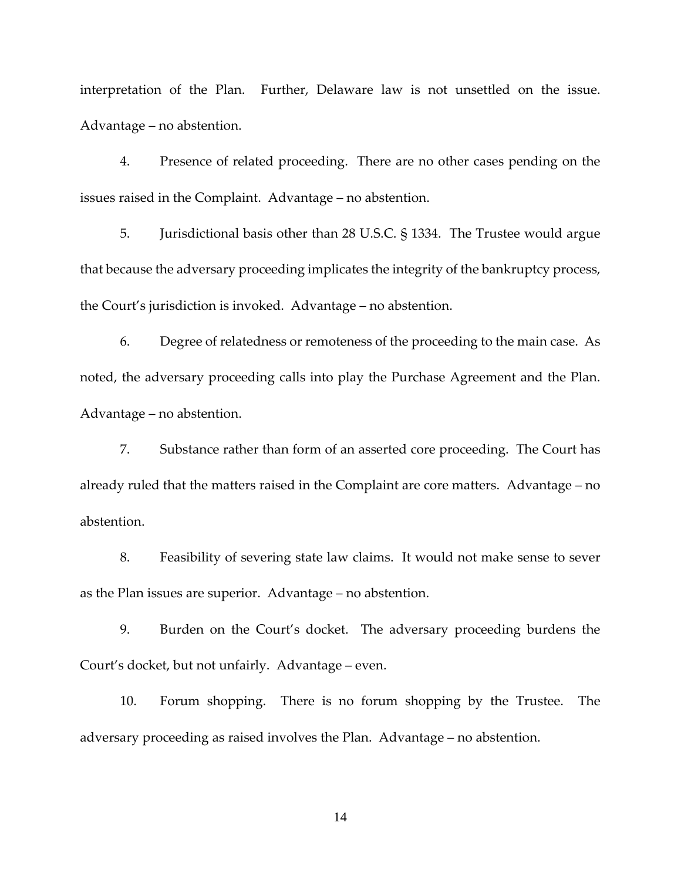interpretation of the Plan. Further, Delaware law is not unsettled on the issue. Advantage – no abstention.

4. Presence of related proceeding. There are no other cases pending on the issues raised in the Complaint. Advantage – no abstention.

5. Jurisdictional basis other than 28 U.S.C. § 1334. The Trustee would argue that because the adversary proceeding implicates the integrity of the bankruptcy process, the Court's jurisdiction is invoked. Advantage – no abstention.

6. Degree of relatedness or remoteness of the proceeding to the main case. As noted, the adversary proceeding calls into play the Purchase Agreement and the Plan. Advantage – no abstention.

7. Substance rather than form of an asserted core proceeding. The Court has already ruled that the matters raised in the Complaint are core matters. Advantage – no abstention.

8. Feasibility of severing state law claims. It would not make sense to sever as the Plan issues are superior. Advantage – no abstention.

9. Burden on the Court's docket. The adversary proceeding burdens the Court's docket, but not unfairly. Advantage – even.

10. Forum shopping. There is no forum shopping by the Trustee. The adversary proceeding as raised involves the Plan. Advantage – no abstention.

14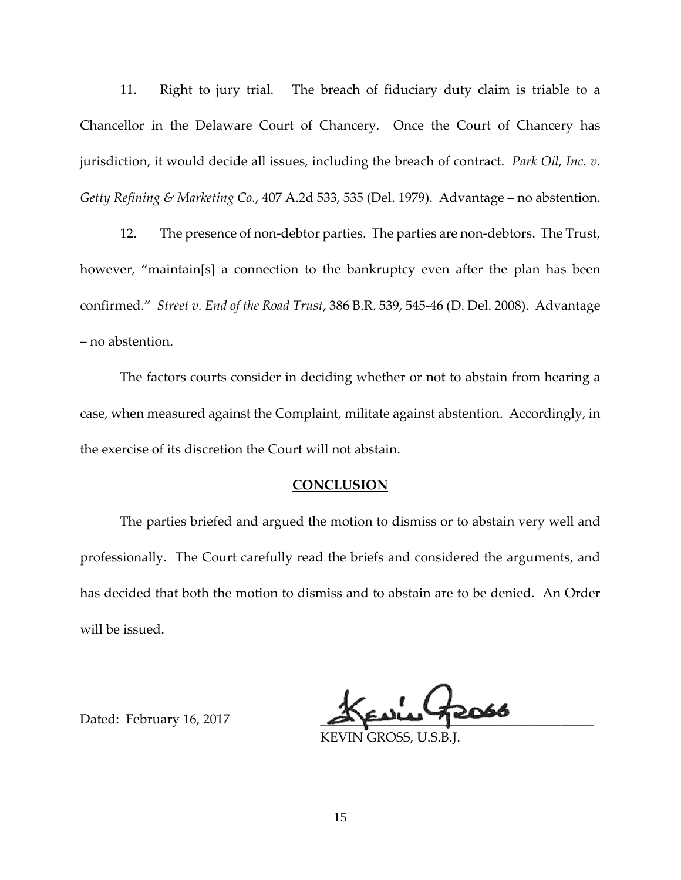11. Right to jury trial. The breach of fiduciary duty claim is triable to a Chancellor in the Delaware Court of Chancery. Once the Court of Chancery has jurisdiction, it would decide all issues, including the breach of contract. *Park Oil, Inc. v. Getty Refining & Marketing Co.*, 407 A.2d 533, 535 (Del. 1979). Advantage – no abstention.

12. The presence of non-debtor parties. The parties are non-debtors. The Trust, however, "maintain[s] a connection to the bankruptcy even after the plan has been confirmed." *Street v. End of the Road Trust*, 386 B.R. 539, 545‐46 (D. Del. 2008). Advantage – no abstention.

The factors courts consider in deciding whether or not to abstain from hearing a case, when measured against the Complaint, militate against abstention. Accordingly, in the exercise of its discretion the Court will not abstain.

#### **CONCLUSION**

The parties briefed and argued the motion to dismiss or to abstain very well and professionally. The Court carefully read the briefs and considered the arguments, and has decided that both the motion to dismiss and to abstain are to be denied. An Order will be issued.

Dated: February 16, 2017

KEVIN GROSS, U.S.B.J.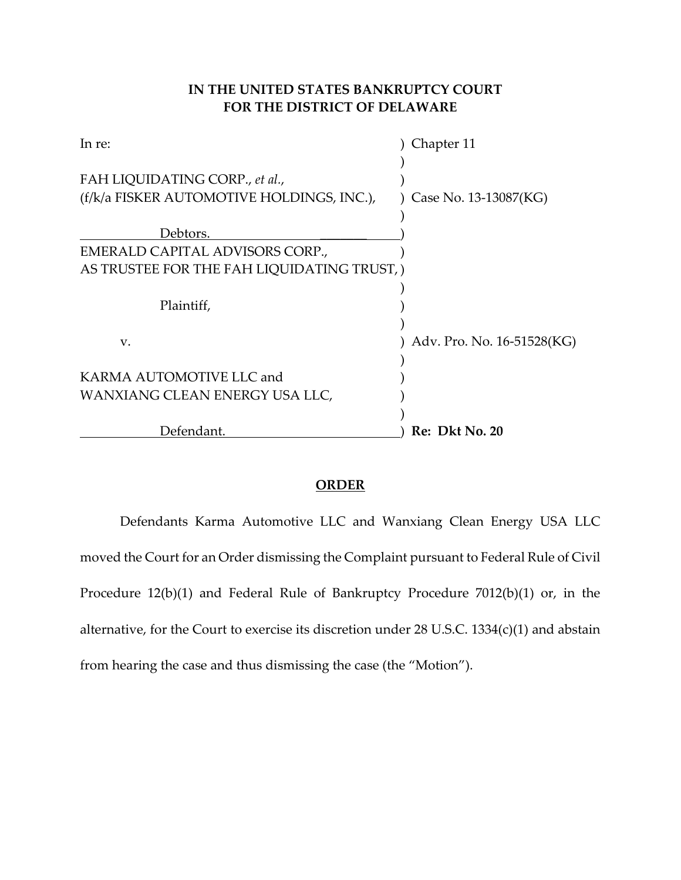# **IN THE UNITED STATES BANKRUPTCY COURT FOR THE DISTRICT OF DELAWARE**

| In re:                                    | Chapter 11                 |
|-------------------------------------------|----------------------------|
|                                           |                            |
| FAH LIQUIDATING CORP., et al.,            |                            |
| (f/k/a FISKER AUTOMOTIVE HOLDINGS, INC.), | Case No. 13-13087(KG)      |
|                                           |                            |
| Debtors.                                  |                            |
| EMERALD CAPITAL ADVISORS CORP.,           |                            |
| AS TRUSTEE FOR THE FAH LIQUIDATING TRUST, |                            |
|                                           |                            |
| Plaintiff,                                |                            |
|                                           |                            |
| V.                                        | Adv. Pro. No. 16-51528(KG) |
|                                           |                            |
| KARMA AUTOMOTIVE LLC and                  |                            |
| WANXIANG CLEAN ENERGY USA LLC,            |                            |
|                                           |                            |
| Defendant.                                | Re: Dkt No. 20             |

## **ORDER**

Defendants Karma Automotive LLC and Wanxiang Clean Energy USA LLC moved the Court for an Order dismissing the Complaint pursuant to Federal Rule of Civil Procedure 12(b)(1) and Federal Rule of Bankruptcy Procedure 7012(b)(1) or, in the alternative, for the Court to exercise its discretion under 28 U.S.C. 1334(c)(1) and abstain from hearing the case and thus dismissing the case (the "Motion").